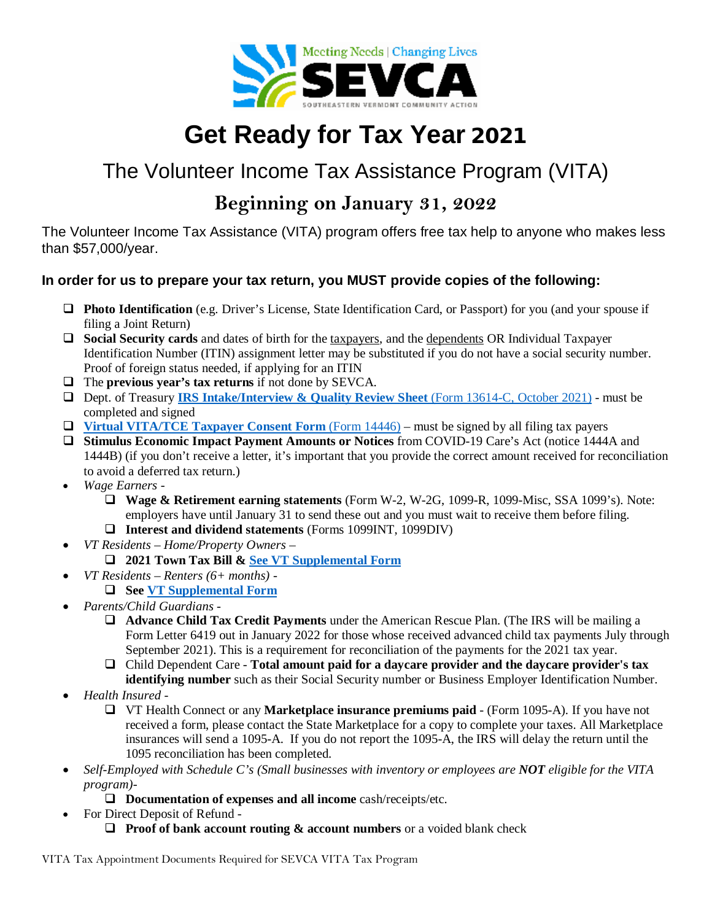

# **Get Ready for Tax Year** 2021

## The Volunteer Income Tax Assistance Program (VITA)

### **Beginning on January 31, 2022**

The Volunteer Income Tax Assistance (VITA) program offers free tax help to anyone who makes less than \$57,000/year.

#### **In order for us to prepare your tax return, you MUST provide copies of the following:**

- **Photo Identification** (e.g. Driver's License, State Identification Card, or Passport) for you (and your spouse if filing a Joint Return)
- **Social Security cards** and dates of birth for the taxpayers, and the dependents OR Individual Taxpayer Identification Number (ITIN) assignment letter may be substituted if you do not have a social security number. Proof of foreign status needed, if applying for an ITIN
- The **previous year's tax returns** if not done by SEVCA.
- Dept. of Treasury **[IRS Intake/Interview & Quality Review Sheet](https://www.irs.gov/pub/irs-pdf/f13614c.pdf)** (Form 13614-C, October 2021) must be completed and signed
- **[Virtual VITA/TCE Taxpayer Consent Form](https://www.irs.gov/pub/irs-pdf/f14446.pdf)** (Form 14446) must be signed by all filing tax payers
- **Stimulus Economic Impact Payment Amounts or Notices** from COVID-19 Care's Act (notice 1444A and 1444B) (if you don't receive a letter, it's important that you provide the correct amount received for reconciliation to avoid a deferred tax return.)
- *Wage Earners -*
	- **Wage & Retirement earning statements** (Form W-2, W-2G, 1099-R, 1099-Misc, SSA 1099's). Note: employers have until January 31 to send these out and you must wait to receive them before filing.
	- **Interest and dividend statements** (Forms 1099INT, 1099DIV)
- *VT Residents – Home/Property Owners –*
	- **2021 Town Tax Bill & [See VT Supplemental Form](https://sevca.org/images/VT_Supplemental_Intake_TY_2021-22_Vermont.pdf)**
- *VT Residents – Renters (6+ months)* 
	- **See [VT Supplemental Form](https://sevca.org/images/VT_Supplemental_Intake_TY_2021-22_Vermont.pdf)**
- *Parents/Child Guardians -*
	- **Advance Child Tax Credit Payments** under the American Rescue Plan. (The IRS will be mailing a Form Letter 6419 out in January 2022 for those whose received advanced child tax payments July through September 2021). This is a requirement for reconciliation of the payments for the 2021 tax year.
	- Child Dependent Care **Total amount paid for a daycare provider and the daycare provider's tax identifying number** such as their Social Security number or Business Employer Identification Number.
- *Health Insured -*
	- VT Health Connect or any **Marketplace insurance premiums paid** (Form 1095-A). If you have not received a form, please contact the State Marketplace for a copy to complete your taxes. All Marketplace insurances will send a 1095-A. If you do not report the 1095-A, the IRS will delay the return until the 1095 reconciliation has been completed.
- *Self-Employed with Schedule C's (Small businesses with inventory or employees are NOT eligible for the VITA program)-*
	- **Documentation of expenses and all income** cash/receipts/etc.
- For Direct Deposit of Refund
	- **Proof of bank account routing & account numbers** or a voided blank check